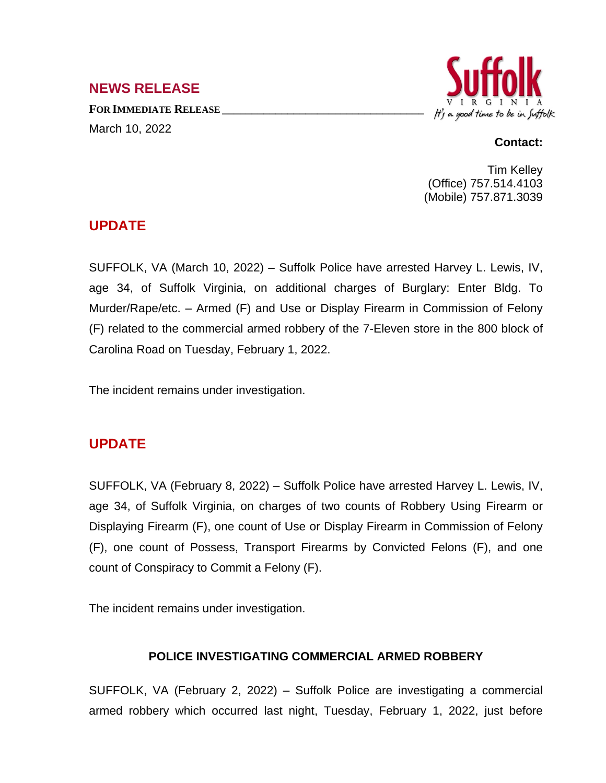## **NEWS RELEASE**

**FOR IMMEDIATE RELEASE \_\_\_\_\_\_\_\_\_\_\_\_\_\_\_\_\_\_\_\_\_\_\_\_\_\_\_\_\_\_\_\_\_\_** March 10, 2022



#### **Contact:**

Tim Kelley (Office) 757.514.4103 (Mobile) 757.871.3039

## **UPDATE**

SUFFOLK, VA (March 10, 2022) – Suffolk Police have arrested Harvey L. Lewis, IV, age 34, of Suffolk Virginia, on additional charges of Burglary: Enter Bldg. To Murder/Rape/etc. – Armed (F) and Use or Display Firearm in Commission of Felony (F) related to the commercial armed robbery of the 7-Eleven store in the 800 block of Carolina Road on Tuesday, February 1, 2022.

The incident remains under investigation.

# **UPDATE**

SUFFOLK, VA (February 8, 2022) – Suffolk Police have arrested Harvey L. Lewis, IV, age 34, of Suffolk Virginia, on charges of two counts of Robbery Using Firearm or Displaying Firearm (F), one count of Use or Display Firearm in Commission of Felony (F), one count of Possess, Transport Firearms by Convicted Felons (F), and one count of Conspiracy to Commit a Felony (F).

The incident remains under investigation.

#### **POLICE INVESTIGATING COMMERCIAL ARMED ROBBERY**

SUFFOLK, VA (February 2, 2022) – Suffolk Police are investigating a commercial armed robbery which occurred last night, Tuesday, February 1, 2022, just before